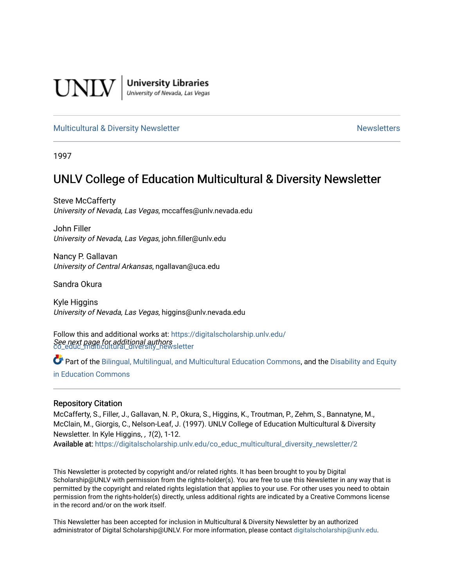

**University Libraries**<br>University of Nevada, Las Vegas

#### [Multicultural & Diversity Newsletter](https://digitalscholarship.unlv.edu/co_educ_multicultural_diversity_newsletter) Newsletter [Newsletters](https://digitalscholarship.unlv.edu/co_educ_newsletters) Newsletters

1997

# UNLV College of Education Multicultural & Diversity Newsletter

Steve McCafferty University of Nevada, Las Vegas, mccaffes@unlv.nevada.edu

John Filler University of Nevada, Las Vegas, john.filler@unlv.edu

Nancy P. Gallavan University of Central Arkansas, ngallavan@uca.edu

Sandra Okura

Kyle Higgins University of Nevada, Las Vegas, higgins@unlv.nevada.edu

See next page for additional authors [co\\_educ\\_multicultural\\_diversity\\_newsletter](https://digitalscholarship.unlv.edu/co_educ_multicultural_diversity_newsletter?utm_source=digitalscholarship.unlv.edu%2Fco_educ_multicultural_diversity_newsletter%2F2&utm_medium=PDF&utm_campaign=PDFCoverPages)  Follow this and additional works at: [https://digitalscholarship.unlv.edu/](https://digitalscholarship.unlv.edu/co_educ_multicultural_diversity_newsletter?utm_source=digitalscholarship.unlv.edu%2Fco_educ_multicultural_diversity_newsletter%2F2&utm_medium=PDF&utm_campaign=PDFCoverPages)

Part of the [Bilingual, Multilingual, and Multicultural Education Commons,](http://network.bepress.com/hgg/discipline/785?utm_source=digitalscholarship.unlv.edu%2Fco_educ_multicultural_diversity_newsletter%2F2&utm_medium=PDF&utm_campaign=PDFCoverPages) and the Disability and Equity [in Education Commons](http://network.bepress.com/hgg/discipline/1040?utm_source=digitalscholarship.unlv.edu%2Fco_educ_multicultural_diversity_newsletter%2F2&utm_medium=PDF&utm_campaign=PDFCoverPages)

#### Repository Citation

McCafferty, S., Filler, J., Gallavan, N. P., Okura, S., Higgins, K., Troutman, P., Zehm, S., Bannatyne, M., McClain, M., Giorgis, C., Nelson-Leaf, J. (1997). UNLV College of Education Multicultural & Diversity Newsletter. In Kyle Higgins, , 1(2), 1-12.

Available at: [https://digitalscholarship.unlv.edu/co\\_educ\\_multicultural\\_diversity\\_newsletter/2](https://digitalscholarship.unlv.edu/co_educ_multicultural_diversity_newsletter/2)

This Newsletter is protected by copyright and/or related rights. It has been brought to you by Digital Scholarship@UNLV with permission from the rights-holder(s). You are free to use this Newsletter in any way that is permitted by the copyright and related rights legislation that applies to your use. For other uses you need to obtain permission from the rights-holder(s) directly, unless additional rights are indicated by a Creative Commons license in the record and/or on the work itself.

This Newsletter has been accepted for inclusion in Multicultural & Diversity Newsletter by an authorized administrator of Digital Scholarship@UNLV. For more information, please contact [digitalscholarship@unlv.edu.](mailto:digitalscholarship@unlv.edu)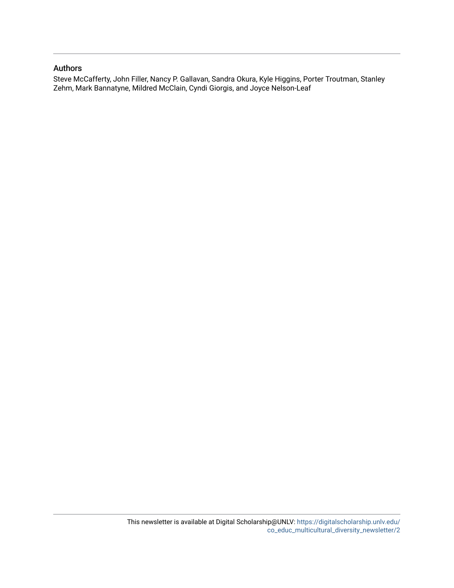#### Authors

Steve McCafferty, John Filler, Nancy P. Gallavan, Sandra Okura, Kyle Higgins, Porter Troutman, Stanley Zehm, Mark Bannatyne, Mildred McClain, Cyndi Giorgis, and Joyce Nelson-Leaf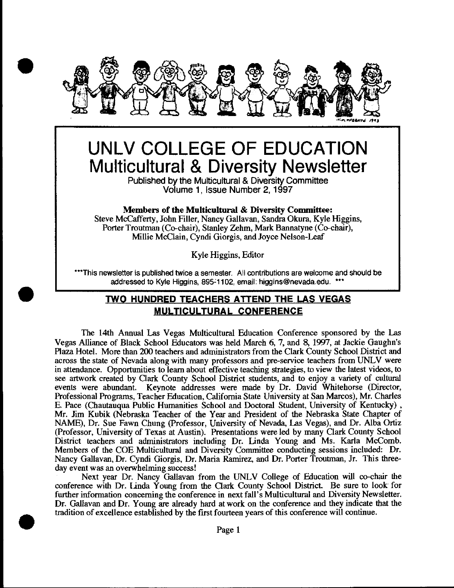

# **UNLV COLLEGE OF EDUCATION Multicultural & Diversity Newsletter**

Published by the Multicultural & Diversity Committee Volume 1 , Issue Number 2, 1997

#### Members of the **Multicultural** & Diversity Committee:

Steve McCafferty, John Filler, Nancy Gallavan, Sandra Okura, Kyle Higgins, Porter Troutman (Co-chair), Stanley Zehm, Mark Bannatyne (Co-chair), Millie McClain, Cyndi Giorgis, and Joyce Nelson-Leaf

Kyle Higgins, Editor

\*\*\*This newsletter is published twice a semester. All contributions are welcome and should be addressed to Kyle Higgins, 895-1102, email: higgins@nevada.edu. \*\*\*

# **TWO HUNDRED TEACHERS ATTEND THE LAS VEGAS MULTICULTURAL CONFERENCE**

•

•

The 14th Annual Las Vegas Multicultural Education Conference sponsored by the Las Vegas Alliance of Black School Educators was held March 6, 7, and 8, 1997, at Jackie Gaughn's Plaza Hotel. More than 200 teachers and administrators from the Clark County School District and across the state of Nevada along with many professors and pre-service teachers from UNLV were in attendance. Opportunities to learn about effective teaching strategies, to view the latest videos, to see artwork created by Clark County School District students, and to enjoy a variety of cultural events were abundant. Keynote addresses were made by Dr. David Whitehorse (Director, Professional Programs, Teacher Education, California State University at San Marcos), Mr. Charles E. Pace (Chautauqua Public Humanities School and Doctoral Student, University of Kentucky) , Mr. Jim Kubik (Nebraska Teacher of the Year and President of the Nebraska State Chapter of NAME), Dr. Sue Fawn Chung (Professor, University of Nevada, Las Vegas), and Dr. Alba Ortiz (Professor, University of Texas at Austin). Presentations were led by many Clark County School District teachers and administrators including Dr. tinda Young and Ms. Karla McComb. Members of the COE Multicultural and Diversity Committee conducting sessions included: Dr. Nancy Gallavan, Dr. Cyndi Giorgis, Dr. Maria Ramirez, and Dr. Porter Troutman, Jr. This threeday event was an overwhelming success!

Next year Dr. Nancy Gallavan from the UNLV College of Education will co-chair the conference with Dr. tinda Young from the Clark County School District. Be sure to look for further information concerning the conference in next fall's Multicultural and Diversity Newsletter. Dr. Gallavan and Dr. Young are already hard at work on the conference and they indicate that the tradition of excellence established by the first fourteen years of this conference will continue .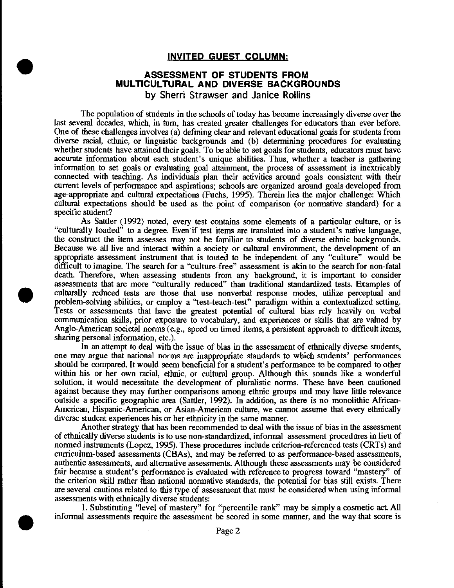#### **INVITED GUEST COLUMN:**

#### **ASSESSMENT OF STUDENTS FROM MULTICULTURAL AND DIVERSE BACKGROUNDS**  by Sherri Strawser and Janice Rollins

•

•

•

The population of students in the schools of today has become increasingly diverse over the last several decades, which, in tum, has created greater challenges for educators than ever before. One of these challenges involves (a) defining clear and relevant educational goals for students from diverse racial, ethnic, or linguistic backgrounds and (b) determining procedures for evaluating whether students have attained their goals. To be able to set goals for students, educators must have accurate information about each student's unique abilities. Thus, whether a teacher is gathering information to set goals or evaluating goal attainment, the process of assessment is inextricably connected with teaching. As individuals plan their activities around goals consistent with their current levels of performance and aspirations; schools are organized around goals developed from age-appropriate and cultural expectations (Fuchs, 1995). Therein lies the major challenge: Which cultural expectations should be used as the point of comparison (or normative standard) for a specific student?

As Sattler (1992) noted, every test contains some elements of a particular culture, or is "culturally loaded" to a degree. Even if test items are translated into a student's native language, the construct the item assesses may not be familiar to students of diverse ethuic backgrounds. Because we all live and interact within a society or cultural environment, the development of an appropriate assessment instrument that is touted to be independent of any "culture" would be difficult to imagine. The search for a "culture-free" assessment is akin to the search for non-fatal death. Therefore, when assessing students from any background, it is important to consider assessments that are more "culturally reduced" than traditional standardized tests. Examples of culturally reduced tests are those that use nonverbal response modes, utilize perceptual and problem-solving abilities, or employ a "test-teach-test" paradigm within a contextualized setting. Tests or assessments that have the greatest potential of cultural bias rely heavily on verbal communication skills, prior exposure to vocabulary, and experiences or skills that are valued by Anglo-American societal norms (e.g., speed on timed items, a persistent approach to difficult items, sharing personal information, etc.).

In an attempt to deal with the issue of bias in the assessment of ethnically diverse students, one may argue that national norms are inappropriate standards to which students' performances should be compared. It would seem beneficial for a student's performance to be compared to other within his or her own racial, ethnic, or cultural group. Although this sounds like a wonderful solution, it would necessitate the development of pluralistic norms. These have been cautioned against because they may further comparisons among ethuic groups and may have little relevance outside a specific geographic area (Sattler, 1992). In addition, as there is no monolithic African-American, Hispanic-American, or Asian-American culture, we cannot assume that every ethnically diverse student experiences his or her ethnicity in the same manner.

Another strategy that has been recommended to deal with the issue of bias in the assessment of ethuically diverse students is to use non-standardized, informal assessment procedures in lieu of normed instruments (Lopez, 1995). These procedures include criterion-referenced tests (CRTs) and curriculum-based assessments (CBAs), and may be referred to as performance-based assessments, authentic assessments, and alternative assessments. Although these assessments may be considered fair because a student's performance is evaluated with reference to progress toward "mastery" of the criterion skill rather than national normative standards, the potential for bias still exists. There are several cautions related to this type of assessment that must be considered when using informal assessments with ethnically diverse students:

1. Substituting "level of mastery" for "percentile rank" may be simply a cosmetic act All informal assessments require the assessment be scored in some manner, and the way that score is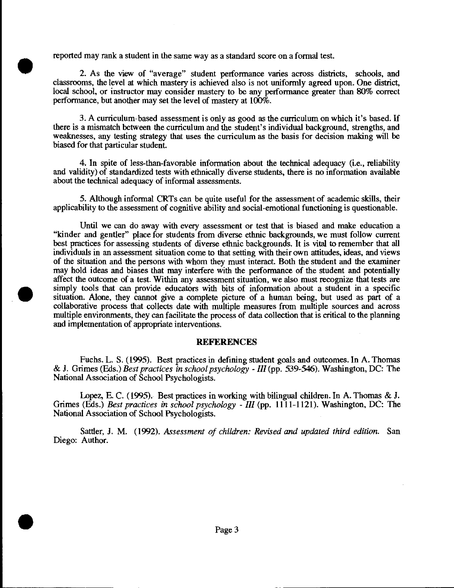reported may rank a student in the same way as a standard score on a formal test.

•

•

•

2. As the view of "average" student performance varies across districts, schools, and classrooms, the level at which mastery is achieved also is not uniformly agreed upon. One district, local school, or instructor may consider mastery to be any performance greater than 80% correct performance, but another may set the level of mastery at 100%.

3. A curriculum-based assessment is only as good as the curriculum on which it's based. If there is a mismatch between the curriculum and the student's individual background, strengths, and weaknesses, any testing strategy that uses the curriculum as the basis for decision making will be biased for that particular student.

4. In spite of less-than-favorable information about the technical adequacy (i.e., reliability and validity) of standardized tests with ethnically diverse students, there is no information available about the technical adequacy of informal assessments.

5. Although informal CRTs can be quite useful for the assessment of academic skills, their applicability to the assessment of cognitive ability and social-emotional functioning is questionable.

Until we can do away with every assessment or test that is biased and make education a "kinder and gentler" place for students from diverse ethnic backgrounds, we must follow current best practices for assessing students of diverse ethnic backgrounds. It is vital to remember that all individuals in an assessment situation come to that setting with their own attitudes, ideas, and views of the situation and the persons with whom they must interact Both the student and the examiner may hold ideas and biases that may interfere with the performance of the student and potentially affect the outcome of a test. Within any assessment situation, we also must recognize that tests are simply tools that can provide educators with bits of information about a student in a specific situation. Alone, they cannot give a complete picture of a human being, but used as part of a collaborative process that collects date with multiple measures from multiple sources and across multiple environments, they can facilitate the process of data collection that is critical to the planning and implementation of appropriate interventions.

#### **REFERENCES**

Fuchs. L. S. (1995). Best practices in defining student goals and outcomes. In A. Thomas & J. Grimes (Eds.) *Best practices in school psychology -Ill* (pp. 539-546). Washington, DC: The National Association of School Psychologists.

Lopez, E. C. ( 1995). Best practices in working with bilingual children. In A. Thomas & J. Grimes (Eds.) *Best practices* in *school psychology- III* (pp. 1111-1121). Washington, DC: The National Association of School Psychologists.

Sattler, J. M. (1992). *Assessment of children: Revised and updated third edition.* San Diego: Author.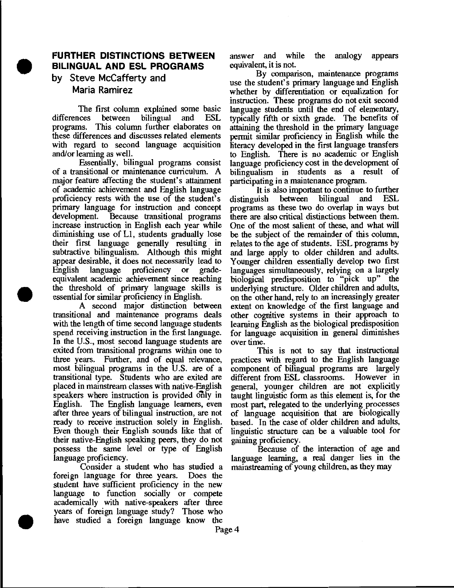## **FURTHER DISTINCTIONS BETWEEN BILINGUAL AND ESL PROGRAMS**

by Steve McCafferty and Maria Ramirez

•

•

•

The first column explained some basic<br>differences between bilingual and ESL between bilingual programs. This column further elaborates on these differences and discusses related elements with regard to second language acquisition and/or learning as well.

Essentially, bilingual programs consist of a transitional or maintenance curriculum. A major feature affecting the student's attainment of academic achievement and English language proficiency rests with the use of the student's primary language for instruction and concept<br>development. Because transitional programs Because transitional programs. increase instruction in English each year while diminishing use of Ll, students gradually lose their first language generally resulting in subtractive bilingualism. Although this might appear desirable, it does not necessarily lead to English language proficiency or gradeequivalent academic achievement since reaching the threshold of primary language skills is essential for similar proficiency in English.

A second major distinction between transitional and maintenance programs deals with the length of time second language students spend receiving instruction in the first language. In the U.S., most second language students are exited from transitional programs within one to three years. Further, and of equal relevance, most bilingual programs in the U.S. are of a transitional type. Students who are exited are placed in mainstream classes with native-English speakers where instruction is provided only in English. The English language learners, even after three years of bilingual instruction, are not ready to receive instruction solely in English. Even though their English sounds like that of their native-English speaking peers, they do not possess the same level or type of English language proficiency.

Consider a student who has studied a foreign language for three years. Does the student have sufficient proficiency in the new language to function socially or compete academically with native-speakers after three years of foreign language study? Those who have studied a foreign language know the

answer and while the analogy appears equivalent, it is not.

By comparison, maintenance programs use the student's primary language and English whether by differentiation or equalization for instruction. These programs do not exit second language students until the end of elementary, typically ftfth or sixth grade. The benefits of attaining the threshold in the primary language permit similar proficiency in English while the literacy developed in the first language transfers to English. There is no academic or English language proficiency cost in the development of bilingualism in students as a result of participating in a maintenance program.

It is also important to continue to further<br>uish between bilingual and ESL distinguish programs as these two do overlap in ways but there are also critical distinctions between them. One of the most salient of these, and what will be the subject of the remainder of this column, relates to the age of students. ESL programs by and large apply to older children and adults. Younger children essentially develop two first languages simultaneously, relying on a largely biological predisposition to "pick up" the underlying structure. Older children and adults, on the other hand, rely to an increasingly greater extent on knowledge of the first language and other cognitive systems in their approach to learning English as the biological predisposition for language acquisition in general diminishes over time.

This is not to say that instructional practices with regard to the English language component of bilingual programs are largely different from ESL classrooms. However in general, younger children are not explicitly taught linguistic form as this element is, for the most part, relegated to the underlying processes of language acquisition that are biologically based. In the case of older children and adults, linguistic structure can be a valuable tool for gaining proficiency.

Because of the interaction of age and language learning, a real danger lies in the mainstreaming of young children, as they may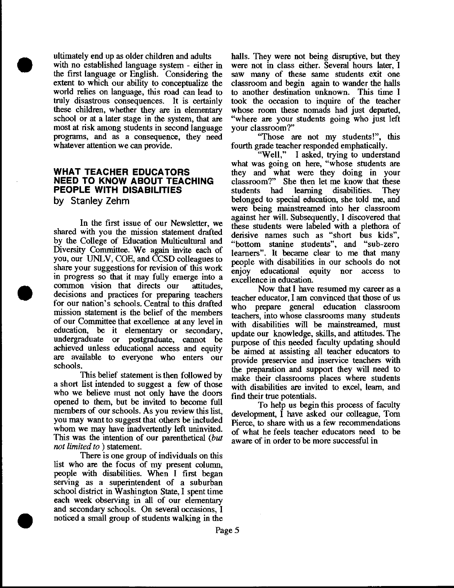ultimately end up as older children and adults with no established language system - either in the first language or English. Considering the extent to which our ability to conceptualize the world relies on language, this road can lead to truly disastrous consequences. It is certainly these children, whether they are in elementary school or at a later stage in the system, that are most at risk among students in second language programs, and as a consequence, they need whatever attention we can provide.

## **WHAT TEACHER EDUCATORS NEED TO KNOW ABOUT TEACHING PEOPLE WITH DISABILITIES**

**by Stanley Zehm** 

•

•

•

In the first issue of our Newsletter, we shared with you the mission statement drafted by the College of Education Multicultural and Diversity Committee. We again invite each of you, our UNLV, COE, and CCSD colleagues to share your suggestions for revision of this work in progress so that it may fully emerge into a common vision that directs our attitudes, decisions and practices for preparing teachers for our nation's schools. Central to this drafted mission statement is the belief of the members of our Committee that excellence at any level in education, be it elementary or secondary, undergraduate or postgraduate, cannot be achieved unless educational access and equity are available to everyone who enters our schools.

This belief statement is then followed by a short list intended to suggest a few of those who we believe must not only have the doors opened to them, but be invited to become full members of our schools. As you review this list, you may want to suggest that others be included whom we may have inadvertently left uninvited. This was the intention of our parenthetical *(but not limited to* ) statement.

There is one group of individuals on this list who are the focus of my present column, people with disabilities. When I first began serving as a superintendent of a suburban school district in Washington State, I spent time each week observing in all of our elementary and secondary schools. On several occasions, I noticed a small group of students walking in the

halls. They were not being disruptive, but they were not in class either. Several hours later, I saw many of these same students exit one classroom and begin again to wander the halls to another destination unknown. This time I took the occasion to inqnire of the teacher whose room these nomads had just departed, "where are your students going who just left your classroom?"

"Those are not my students!", this fourth grade teacher responded emphatically.<br>"Well," I asked, trying to underst

I asked, trying to understand what was going on here, "whose students are they and what were they doing in your classroom?" She then let me know that these students had learning disabilities. They belonged to special education, she told me, and were being mainstreamed into her classroom against her will. Subsequently, I discovered that these students were labeled with a plethora of derisive names such as "short bus kids", "bottom stanine students", and "sub-zero learners". It became clear to me that many people with disabilities in our schools do not enjoy educational equity nor access to excellence in education.

Now that I have resumed my career as a teacher educator, I am convinced that those of us who prepare general education classroom teachers, into whose classrooms many students with disabilities will be mainstreamed, must update our knowledge, skills, and attitudes. The purpose of this needed faculty updating should be aimed at assisting all teacher educators to provide preservice and inservice teachers with the preparation and support they will need to make their classrooms places where students with disabilities are invited to excel, learn, and find their true potentials.

To help us begin this process of faculty development, I have asked our colleague, Tom Pierce, to share with us a few recommendations of what he feels teacher educators need to be aware of in order to be more successful in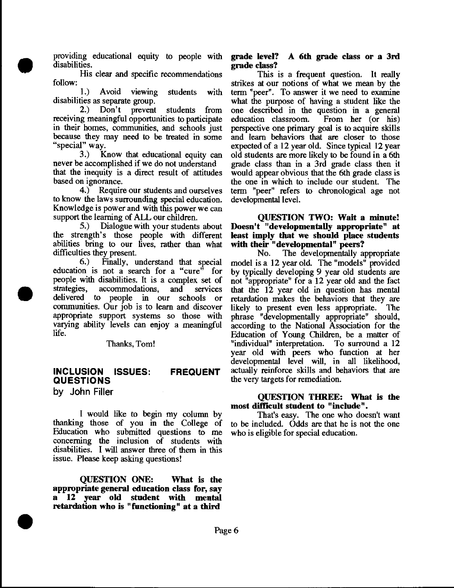providing educational equity to people with disabilities.

His clear and specific recommendations follow:

•

•

•

1.) Avoid viewing students with disabilities as separate group.

2.) Don't prevent students from receiving meaningful opportunities to participate in their homes, communities, and schools just because they may need to be treated in some "special" way.

3.) Know that educational equity can never be accomplished if we do not understand that the inequity is a direct result of attitudes based on ignorance.

4.) Require our students and ourselves to know the laws surrounding special education. Knowledge is power and with this power we can support the learning of ALL our children.

5.) Dialogue with your students about the strength's those people with different abilities bring to our lives, rather than what difficulties they present.

6.) Finally, understand that special education is not a search for a "cure" for people with disabilities. It is a complex set of strategies, accommodations, and services delivered to people in our schools or communities. Our job is to learn and discover appropriate support systems so those with varying ability levels can enjoy a meaningful life.

#### Thanks, Tom!

#### INCLUSION ISSUES: **QUESTIONS** FREQUENT

by John Filler

I would like to begin my column by thanking those of you in the College of Education who submitted questions to me concerning the inclusion of students with disabilities. I will answer three of them in this issue. Please keep asking questions!

QUESTION ONE: What is the appropriate general education class for, say a 12 year old student with mental retardation who is "functioning" at a third

#### grade level? A 6th grade class or a 3rd grade class?

This is a frequent question. It really strikes at our notions of what we mean by the term "peer". To answer it we need to examine what the purpose of having a student like the one described in the question in a general education classroom. From her (or his) education classroom. perspective one primary goal is to acquire skills and learn behaviors that are closer to those expected of a 12 year old. Since typical 12 year old students are more likely to be found in a 6th grade class than in a 3rd grade class then it would appear obvious that the 6th grade class is the one in which to include our student. The term "peer" refers to chronological age not developmental level.

#### QUESTION TWO: Wait a minute! Doesn't "developmentally appropriate" at least imply that we should place students with their "developmental" peers?

No. The developmentally appropriate model is a 12 year old. The "models" provided by typically developing 9 year old students are not "appropriate" for a 12 year old and the fact that the 12 year old in question has mental retardation makes the behaviors that they are likely to present even less appropriate. The phrase "developmentally appropriate" should, according to the National Association for the Education of Young Children, be a matter of "individual" interpretation. To surround a 12 year old with peers who function at her developmental level will, in all likelihood, actnally reinforce skills and behaviors that are the very targets for remediation.

#### QUESTION THREE: What is the most difficult student to "include".

That's easy. The one who doesn't want to be included. Odds are that he is not the one who is eligible for special education.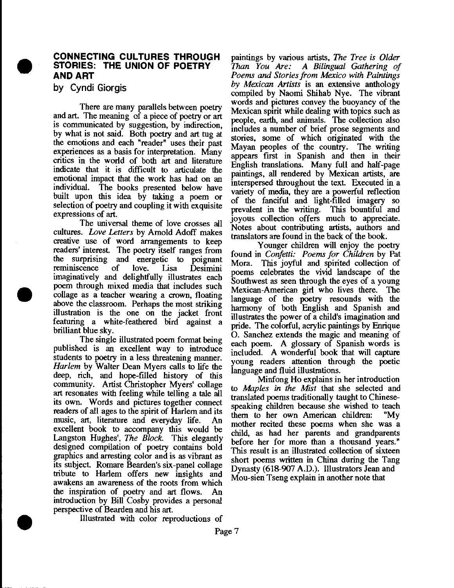

•

•

#### **CONNECTING CULTURES THROUGH STORIES: THE UNION OF POETRY AND ART**

**by Cyndi Giorgis** 

There are many parallels between poetry and art. The meaning of a piece of poetry or art is communicated by suggestion, by indirection, by what is not said. Both poetry and art tug at the emotions and each "reader" uses their past experiences as a basis for interpretation: Many critics in the world of both art and hterature indicate that it is difficult to articulate the emotional impact that the work has had on an individnal. The books presented below have built upon this idea by taking a poem or selection of poetry and coupling it with exquisite expressions of art.

The universal theme of love crosses all cultures. *Love Letters* by Arnold Adoff makes creative use of word arrangements to keep readers' interest. The poetry itself ranges from the surprising and energetic to poignant reminiscence of love. lisa Desimini imaginatively and delightfully illustrates each poem through mixed media that includes such collage as a teacher wearing a crown, floating above the classroom. Perhaps the most striking illustration is the one on the jacket front featuring a white-feathered bird against a brilliant blue sky.

The single illustrated poem format being published is an excellent way to introduce students to poetry in a less threatening manner. *Harlem* by Walter Dean Myers calls to life the deep, rich, and hope-filled history of this community. Artist Christopher Myers' collage art resonates with feeling while telling a tale all its own. Words and pictures together connect readers of all ages to the spirit of Harlem and its music, art, literature and everyday life. An excellent book to accompany this would be Langston Hughes', *The Block*. This elegantly designed compilation of poetry contains bold graphics and arresting color and is as vibrant as its subject. Romare Bearden's six-panel collage tribute to Harlem offers new insights and awakens an awareness of the roots from which the inspiration of poetry and art flows. An introduction by Bill Cosby provides a personal perspective of Bearden and his art.

Illustrated with color reproductions of

paintings by various artists, *The Tree is Older Than You Are:* A *Bilingual Gathering of Poems* arui *Stories from Mexico with Paintings by Mexican Artists* is an extensive anthology compiled by Naomi Shihab Nye. The vibrant words and pictures convey the buoyancy of the. Mexican spirit while dealing with topics such as people, earth, and animals. The collection also includes a number of brief prose segments and stories, some of which originated with the Mayan peoples of the country. The writing appears first in Spanish and then in their English translations. Many full and half-page paintings, all rendered by Mexican artists, are interspersed throughout the text. Executed in a variety of media, they are a powerful reflection of the fanciful and light -filled imagery so prevalent in the writing. This bountiful and joyous collection offers much to appreciate. Notes about contributing artists, authors and translators are found in the back of the book.

Younger children will enjoy the poetry found in *Confetti: Poems for Children* by Pat Mora. This joyful and spirited collection of poems celebrates the vivid landscape of the Southwest as seen through the eyes of a young Mexican-American girl who lives there. The language of the poetry resounds with the harmony of both English and Spanish and illustrates the power of a child's imagination and pride. The colorful, acrylic paintings by Enrique 0. Sanchez extends the magic and meaning of each poem. A glossary of Spanish words is included. A wonderful book that will capture young readers attention through the poetic

language and fluid illustrations.<br>Minfong Ho explains in her introduction to *Maples in the Mist* that she selected and translated poems traditionally taught to Chinesespeaking children because she wished to teach them to her own American children: "My mother recited these poems when she was a child, as had her parents and grandparents before her for more than a thousand years." This result is an illustrated collection of sixteen short poems written in China during the Tang Dynasty (618-907 A.D.). Illustrators Jean and Mou-sien Tseng explain in another note that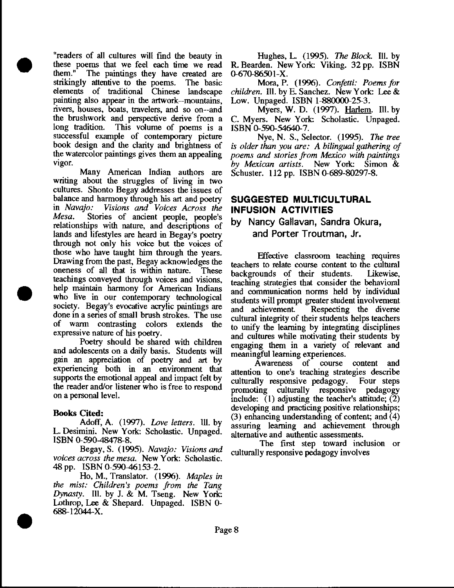"readers of all cultures will find the beauty in these poems that we feel each time we read<br>them." The paintings they have created are The paintings they have created are strikingly attentive to the poems. The basic elements of traditional Chinese landscape painting also appear in the artwork--mountains, rivers, houses, boats, travelers, and so on--and the brushwork and perspective derive from a long tradition. This volume of poems is a successful example of contemporary picture book design and the clarity and brightness of the watercolor paintings gives them an appealing vigor.

•

•

•

Many American Indian authors are writing about the struggles of living in two cultures. Shonto Begay addresses the issues of balance and harmony through his art and poetry<br>in Navajo: Visions and Voices Across the in *Navajo: Visions and Voices Across the Mesa.* Stories of ancient people, people's relationships with nature, and descriptions of lands and lifestyles are heard in Begay's poetry through not only his voice but the voices of those who have taught him through the years. Drawing from the past, Begay acknowledges the oneness of all that is within nature. These teachings conveyed through voices and visions, help maintain harmony for American Indians who live in our contemporary technological society. Begay's evocative acrylic paintings are done in a series of small brush strokes. The use of warm contrasting colors extends the expressive nature of his poetry.

Poetry should be shared with children and adolescents on a daily basis. Students will gain an appreciation of poetry and art by experiencing both in an environment that supports the emotional appeal and impact felt by the reader and/or listener who is free to respond on a personal level.

#### Books Cited:

Adoff, A. (1997). *Love letters.* Ill. by L. Desimini. New York: Scholastic. Unpaged. ISBN 0-590-48478-8.

Begay, S. (1995). *Navajo: Visions* and voices across the mesa. New York: Scholastic. 48 pp. ISBN 0-590-46153-2.

Ho, M., Translator. (1996). *Maples in the mist: Children's poems from the Tang Dynasty.* Ill. by J. & M. Tseng. New York: Lothrop, Lee & Shepard. Unpaged. ISBN 0- 688-12044-X .

Hughes, L. (1995). The *Block.* Ill. by R. Bearden. New York: Viking. 32 pp. ISBN. 0-670-86501-X.

Mora, P. (1996). *Confetti: Poems for children.* Ill. by E. Sanchez. New York: Lee  $\&$ Low. Unpaged. ISBN 1-880000-25-3.

Myers, W. D. (1997). Harlem. Ill. by C. Myers. New York: Scholastic. Unpaged. ISBN 0-590-54640-7.

Nye, N. S., Selector. (1995). *The tree is older than you are: A bilingual gathering of poems* and *stories from Mexico with paintings by Mexican artists.* New York: Simon & Schuster. 112 pp. ISBN 0-689-80297-8.

# **SUGGESTED MULTICULTURAL INFUSION ACTIVITIES**

# by Nancy Gallavan, Sandra Okura, and Porter Troutman, Jr.

Effective classroom teaching requires teachers to relate course content to the cultural<br>backgrounds of their students. Likewise, backgrounds of their students. teaching strategies that consider the behavioral and communication norms held by individual students will prompt greater student involvement and achievement. Respecting the diverse cultural integrity of their students helps teachers to unify the learning by integrating disciplines and cultures while motivating their students by engaging them in a variety of relevant and meaningful learning experiences.

Awareness of course content and attention to one's teaching strategies describe culturally responsive pedagogy. Four steps promoting culturally responsive pedagogy include: (1) adjusting the teacher's attitude; (2) developing and practicing positive relationships; (3) enhancing understanding of content; and  $\overline{(4)}$ assuring learning and achievement through alternative and authentic assessments.

The first step toward inclusion or culturally responsive pedagogy involves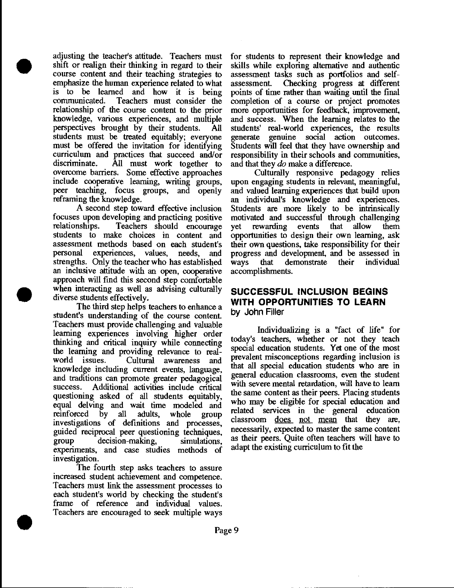adjusting the teacher's attitude. Teachers must shift or realign their thinking in regard to their course content and their teaching strategies to emphasize the human experience related to what is to be learned and how it is being communicated. Teachers must consider the relationship of the course content to the prior knowledge, various experiences, and multiple perspectives brought by their students. All students must be treated equitably; everyone must be offered the invitation for identifying curriculum and practices that succeed and/or All must work together to overcome barriers. Some effective approaches include cooperative learning, writing groups, peer teaching, focus groups, and openly reframing the knowledge.

•

•

•

A second step toward effective inclusion focuses upon developing and practicing positive Teachers should encourage students to make choices in content and assessment methods based on each student's personal experiences, values, needs, and strengths. Only the teacher who has established an inclusive attitude with an open, cooperative approach will find this second step comfortable when interacting as well as advising culturally diverse students effectively.

The third step helps teachers to enhance a student's understanding of the course content Teachers must provide challenging and valuable learning experiences involving higher order thinking and critical inquiry while connecting the learning and providing relevance to realworld issues. Cultural awareness and knowledge including current events, language, and traditions can promote greater pedagogical success. Additional activities include critical questioning asked of all students equitably, equal delving and wait time modeled and<br>reinforced by all adults, whole group reinforced by all adults, investigations of definitions and processes, guided reciprocal peer questioning techniques, group decision-making, simulations, experiments, and case studies methods of investigation.

The fourth step asks teachers to assure increased student achievement and competence. Teachers must link the assessment processes to each student's world by checking the student's frame of reference and individual values. Teachers are encouraged to seek multiple ways

for students to represent their knowledge and skills while exploring alternative and authentic assessment tasks such as portfolios and selfassessment. Checking progress at different points of time rather than waiting until the final completion of a course or project promotes more opportunities for feedback, improvement, and success. When the learning relates to the students' real-world experiences, the results generate genuine social action outcomes. Students will feel that they have ownership and responsibility in their schools and communities, and that they do make a difference.

Culturally responsive pedagogy relies upon engaging students in relevant, meaningful, and valued learning experiences that build upon an individual's knowledge and experiences. Students are more likely to be intrinsically motivated and successful through challenging yet rewarding events that allow them opportunities to design their own learning, ask their own questions, take responsibility for their progress and development, and be assessed in ways that demonstrate their individual accomplishments.

## **SUCCESSFUL INCLUSION BEGINS WITH OPPORTUNITIES TO LEARN**  by John Filler

Individualizing is a "fact of life" for today's teachers, whether or not they teach special education students. Yet one of the most prevalent misconceptions regarding inclusion is that all special education students who are in general education classrooms, even the student with severe mental retardation, will have to learn the same content as their peers. Placing students who may be eligible for special education and related services in the general education classroom does not mean that they are, necessarily, expected to master the same content as their peers. Quite often teachers will have to adapt the existing curriculum to fit the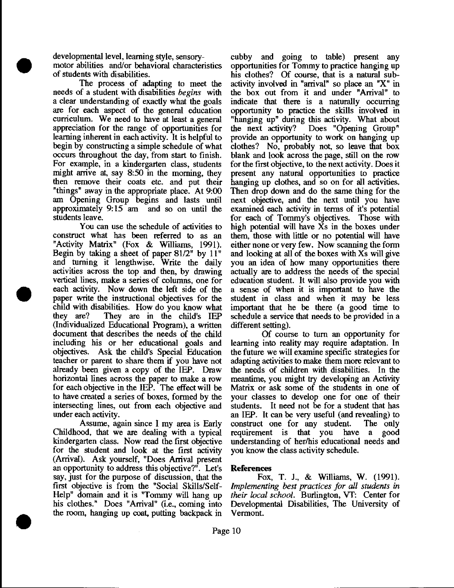developmental level, learning style, sensory-

•

•

•

motor abilities and/or behavioral characteristics of students with disabilities.

The process of adapting to meet the needs of a student with disabilities *begins* with a clear understanding of exactly what the goals are for each aspect of the general education curriculum. We need to have at least a general appreciation for the range of opportunities for learning inherent in each activity. It is helpful to begin by constructing a simple schedule of what occurs throughout the day, from start to finish. For example, in a kindergarten class, students might arrive at, say 8:50 in the morning, they then remove their coats etc. and put their "things" away in the appropriate place. At 9:00 am Opening Group begins and lasts until approximately 9:15 am and so on until the students leave.

You can use the schedule of activities to construct what has been referred to as an "Activity Matrix" (Fox & Williams, 1991). Begin by taking a sheet of paper 81/2" by 11" and turning it lengthwise. Write the daily activities across the top and then, by drawing vertical lines, make a series of columns, one for each activity. Now down the left side of the paper write the instructional objectives for the child with disabilities. How do you know what they are? They are in the child's IEP (Individualized Educational Program), a written document that describes the needs of the child including his or her educational goals and objectives. Ask the child's Special Education teacher or parent to share them if you have not already been given a copy of the IEP. Draw horizontal lines across the paper to make a row for each objective in the IEP. The effect will be to have created a series of boxes, formed by the intersecting lines, out from each objective and under each activity.

Assume, again since I my area is Early Childhood, that we are dealing with a typical kindergarten class. Now read the first objective for the student and look at the first activity (Arrival). Ask yourself, "Does Arrival present an opportunity to address this objective?". Let's say, just for the purpose of discussion, that the first objective is from the "Social Skills/Self-Help" domain and it is "Tommy will hang up his clothes." Does "Arrival" (i.e., coming into the room, hanging up coat, putting backpack in

cubby and going to table) present any opportunities for Tommy to practice hanging up his clothes? Of course, that is a natural subactivity involved in "arrival" so place an "X" in the box out from it and under "Arrival" to indicate that there is a naturally occurring opportunity to practice the skills involved in "hanging up" during this activity. What about the next activity? Does "Opening Group" provide an opportunity to work on hanging up clothes? No, probably not, so leave that box blank and look across the page, still on the row for the first objective, to the next activity. Does it present any natural opportunities to practice hanging up clothes, and so on for all activities. Then drop down and do the same thing for the next objective, and the next until you have examined each activity in terms of it's potential for each of Tommy's objectives. Those with high potential will have Xs in the boxes under them, those with little or no potential will have either none or very few. Now scanning the form and looking at all of the boxes with Xs will give you an idea of how many opportunities there actually are to address the needs of the special education student. It will also provide you with a sense of when it is important to have the student in class and when it may be less important that he be there (a good time to schedule a service that needs to be provided in a different setting).

Of course to turn an opportunity for learning into reality may require adaptation. In the future we will examine specific strategies for adapting activities to make them more relevant to the needs of children with disabilities. In the meantime, you might try developing an Activity Matrix or ask some of the students in one of your classes to develop one for one of their students. It need not be for a student that has an IEP. It can be very useful (and revealing) to construct one for any student. The only requirement is that you have a good understanding of her/his educational needs and you know the class activity schedule.

#### **References**

Fox, T. J., & Williams, W. (1991). *Implementing best practices for all students in their local school.* Burlington, VT: Center for Developmental Disabilities, The University of Vermont.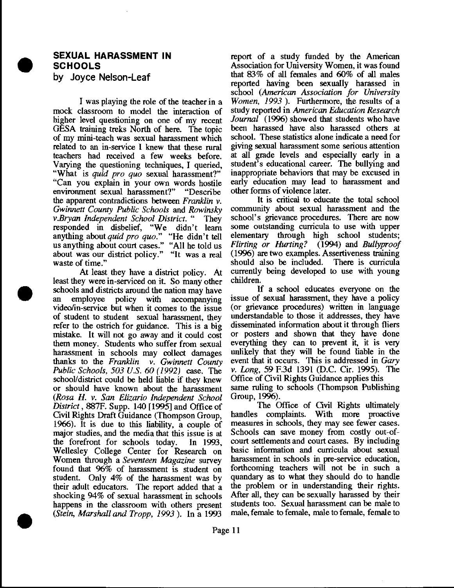

•

•

# **SEXUAL HARASSMENT IN SCHOOLS**

by Joyce **Nelson-Leaf** 

I was playing the role of the teacher in a mock classroom to model the interaction of higher level questioning on one of my recent GESA training treks North of here. The topic of my mini-teach was sexual harassment which related to an in-service I knew that these rural teachers had received a few weeks before. Varying the questioning techniques, I queried, "What is *quid pro quo* sexual harassment?" "Can you explain in your own words hostile environment sexual harassment?" "Describe the apparent contradictions between *Franklin v. Gwirmett County Public Schools* and *Rowinsky v.Bryan Independent School District.* " They responded in disbelief, "We didn't learn anything about *quid pro quo."* "He didn't tell us anything about court cases." "All he told us about was our district policy." "It was a real waste of time."

At least they have a district policy. At least they were in-serviced on it. So many other schools and districts around the nation may have an employee policy with accompanying video/in-service but when it comes to the issue of student to student sexual harassment, they refer to the ostrich for guidance. This is a big mistake. It will not go away and it could cost them money. Students who suffer from sexual harassment in schools may collect damages thanks to the *Franklin v. Gwinnett County Public Schools, 503 U.S. 60 ( 1992)* case. The school/district could be held liable if they knew or should have known about the harassment *(Rosa* H. *v. San Elizario Independent School District,* 887F. Supp. 140 [ 1995] and Office of Civil Rights Draft Guidance (Thompson Group, 1966). It is due to this liability, a couple of major studies, and the media that this issue is at the forefront for schools today. In 1993, Wellesley College Center for Research on Women through a *Seventeen Magazine* survey found that 96% of harassment is student on student. Only 4% of the harassment was by their adult educators. The report added that a shocking 94% of sexual harassment in schools happens in the classroom with others present *(Stein, Marshall and Tropp, 1993* ). In a 1993

report of a study funded by the American Association for University Women, it was found that 83% of all females and 60% of all males reported having been sexually harassed in school *(American Association for University Women, 1993* ). Furthermore, the results of a study reported in *American Education Research Journal* (1996) showed that students who have been harassed have also harassed others at school. These statistics alone indicate a need for giving sexual harassment some serious attention at all grade levels and especially early in a student's educational career. The bullying and inappropriate behaviors that may be excused in early education may lead to harassment and other forms of violence later.

It is critical to educate the total school community about sexual harassment and the school's grievance procedures. There are now some outstanding curricula to use with upper elementary through high school students; *Flirting or Hurting?* (1994) and *Bullyproof*  (1996) are two examples. Assertiveness training should also be included. There is curricula currently being developed to use with young children.

If a school educates everyone on the issue of sexual harassment, they have a policy (or grievance procedures) written in language understandable to those it addresses, they have disseminated information about it through fliers or posters and shown that they have done everything they can to prevent it, it is very unlikely that they will be found liable in the event that it occurs. This is addressed in *Gary v. wng,* 59 F.3d 1391 (D.C. Cir. 1995). The Office of Civil Rights Guidance applies this same ruling to schools (Thompson Publishing

Group, 1996). The Office of Civil Rights ultimately handles complaints. With more proactive measures in schools, they may see fewer cases. Schools can save money from costly out-ofcourt settlements and court cases. By including basic information and curricula about sexual harassment in schools in pre-service education, forthcoming teachers will not be in such a quandary as to what they should do to handle the problem or in understanding their rights. After all, they can be sexually harassed by their students too. Sexual harassment can be male to male, female to female, male to female, female to